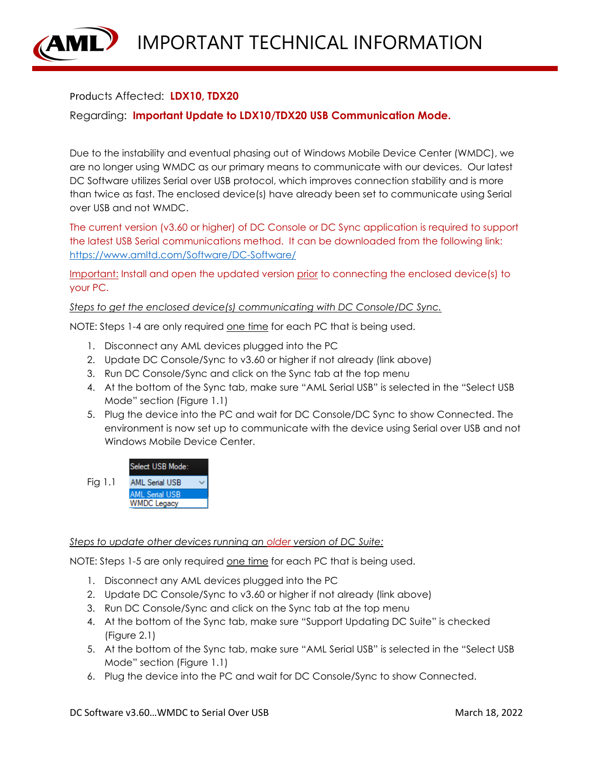IMPORTANT TECHNICAL INFORMATION

## Products Affected: **LDX10, TDX20**

Regarding: **Important Update to LDX10/TDX20 USB Communication Mode.**

Due to the instability and eventual phasing out of Windows Mobile Device Center (WMDC), we are no longer using WMDC as our primary means to communicate with our devices. Our latest DC Software utilizes Serial over USB protocol, which improves connection stability and is more than twice as fast. The enclosed device(s) have already been set to communicate using Serial over USB and not WMDC.

The current version (v3.60 or higher) of DC Console or DC Sync application is required to support the latest USB Serial communications method. It can be downloaded from the following link: <https://www.amltd.com/Software/DC-Software/>

Important: Install and open the updated version prior to connecting the enclosed device(s) to your PC.

*Steps to get the enclosed device(s) communicating with DC Console/DC Sync.*

NOTE: Steps 1-4 are only required one time for each PC that is being used.

- 1. Disconnect any AML devices plugged into the PC
- 2. Update DC Console/Sync to v3.60 or higher if not already (link above)
- 3. Run DC Console/Sync and click on the Sync tab at the top menu
- 4. At the bottom of the Sync tab, make sure "AML Serial USB" is selected in the "Select USB Mode" section (Figure 1.1)
- 5. Plug the device into the PC and wait for DC Console/DC Sync to show Connected. The environment is now set up to communicate with the device using Serial over USB and not Windows Mobile Device Center.



## *Steps to update other devices running an older version of DC Suite:*

NOTE: Steps 1-5 are only required one time for each PC that is being used.

- 1. Disconnect any AML devices plugged into the PC
- 2. Update DC Console/Sync to v3.60 or higher if not already (link above)
- 3. Run DC Console/Sync and click on the Sync tab at the top menu
- 4. At the bottom of the Sync tab, make sure "Support Updating DC Suite" is checked (Figure 2.1)
- 5. At the bottom of the Sync tab, make sure "AML Serial USB" is selected in the "Select USB Mode" section (Figure 1.1)
- 6. Plug the device into the PC and wait for DC Console/Sync to show Connected.